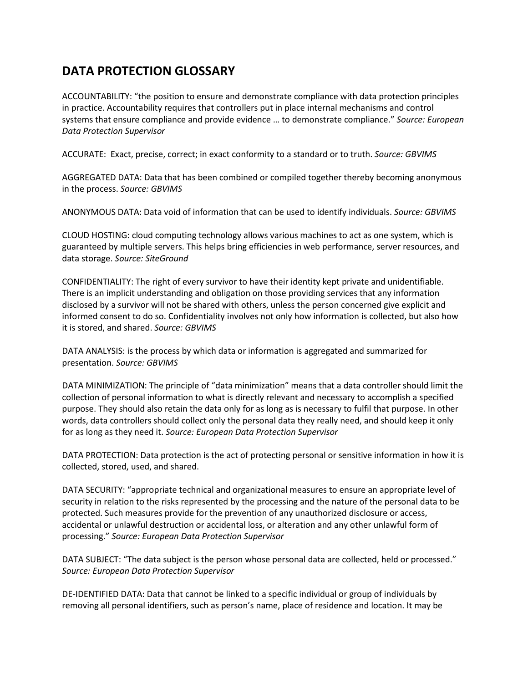## **DATA PROTECTION GLOSSARY**

ACCOUNTABILITY: "the position to ensure and demonstrate compliance with data protection principles in practice. Accountability requires that controllers put in place internal mechanisms and control systems that ensure compliance and provide evidence … to demonstrate compliance." *Source: European Data Protection Supervisor*

ACCURATE: Exact, precise, correct; in exact conformity to a standard or to truth. *Source: GBVIMS*

AGGREGATED DATA: Data that has been combined or compiled together thereby becoming anonymous in the process. *Source: GBVIMS*

ANONYMOUS DATA: Data void of information that can be used to identify individuals. *Source: GBVIMS*

CLOUD HOSTING: cloud computing technology allows various machines to act as one system, which is guaranteed by multiple servers. This helps bring efficiencies in web performance, server resources, and data storage. *Source: SiteGround*

CONFIDENTIALITY: The right of every survivor to have their identity kept private and unidentifiable. There is an implicit understanding and obligation on those providing services that any information disclosed by a survivor will not be shared with others, unless the person concerned give explicit and informed consent to do so. Confidentiality involves not only how information is collected, but also how it is stored, and shared. *Source: GBVIMS*

DATA ANALYSIS: is the process by which data or information is aggregated and summarized for presentation. *Source: GBVIMS*

DATA MINIMIZATION: The principle of "data minimization" means that a data controller should limit the collection of personal information to what is directly relevant and necessary to accomplish a specified purpose. They should also retain the data only for as long as is necessary to fulfil that purpose. In other words, data controllers should collect only the personal data they really need, and should keep it only for as long as they need it. *Source: European Data Protection Supervisor*

DATA PROTECTION: Data protection is the act of protecting personal or sensitive information in how it is collected, stored, used, and shared.

DATA SECURITY: "appropriate technical and organizational measures to ensure an appropriate level of security in relation to the risks represented by the processing and the nature of the personal data to be protected. Such measures provide for the prevention of any unauthorized disclosure or access, accidental or unlawful destruction or accidental loss, or alteration and any other unlawful form of processing." *Source: European Data Protection Supervisor*

DATA SUBJECT: "The data subject is the person whose personal data are collected, held or processed." *Source: European Data Protection Supervisor*

DE‐IDENTIFIED DATA: Data that cannot be linked to a specific individual or group of individuals by removing all personal identifiers, such as person's name, place of residence and location. It may be